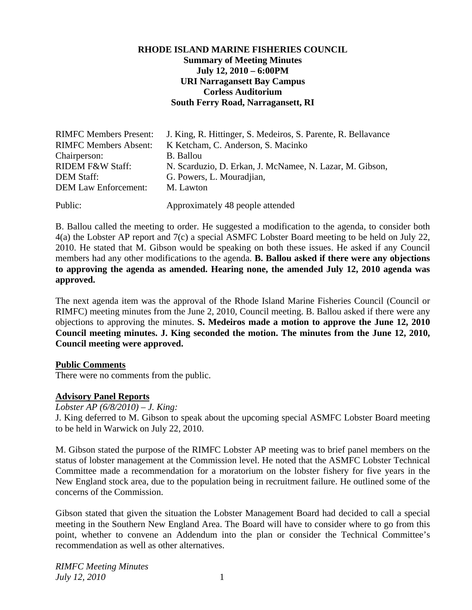#### **RHODE ISLAND MARINE FISHERIES COUNCIL Summary of Meeting Minutes July 12, 2010 – 6:00PM URI Narragansett Bay Campus Corless Auditorium South Ferry Road, Narragansett, RI**

| <b>RIMFC Members Present:</b> | J. King, R. Hittinger, S. Medeiros, S. Parente, R. Bellavance |
|-------------------------------|---------------------------------------------------------------|
| <b>RIMFC Members Absent:</b>  | K Ketcham, C. Anderson, S. Macinko                            |
| Chairperson:                  | <b>B.</b> Ballou                                              |
| RIDEM F&W Staff:              | N. Scarduzio, D. Erkan, J. McNamee, N. Lazar, M. Gibson,      |
| DEM Staff:                    | G. Powers, L. Mouradian,                                      |
| <b>DEM Law Enforcement:</b>   | M. Lawton                                                     |
|                               |                                                               |

Public: Approximately 48 people attended

B. Ballou called the meeting to order. He suggested a modification to the agenda, to consider both 4(a) the Lobster AP report and 7(c) a special ASMFC Lobster Board meeting to be held on July 22, 2010. He stated that M. Gibson would be speaking on both these issues. He asked if any Council members had any other modifications to the agenda. **B. Ballou asked if there were any objections to approving the agenda as amended. Hearing none, the amended July 12, 2010 agenda was approved.**

The next agenda item was the approval of the Rhode Island Marine Fisheries Council (Council or RIMFC) meeting minutes from the June 2, 2010, Council meeting. B. Ballou asked if there were any objections to approving the minutes. **S. Medeiros made a motion to approve the June 12, 2010 Council meeting minutes. J. King seconded the motion. The minutes from the June 12, 2010, Council meeting were approved.**

#### **Public Comments**

There were no comments from the public.

#### **Advisory Panel Reports**

#### *Lobster AP (6/8/2010) – J. King:*

J. King deferred to M. Gibson to speak about the upcoming special ASMFC Lobster Board meeting to be held in Warwick on July 22, 2010.

M. Gibson stated the purpose of the RIMFC Lobster AP meeting was to brief panel members on the status of lobster management at the Commission level. He noted that the ASMFC Lobster Technical Committee made a recommendation for a moratorium on the lobster fishery for five years in the New England stock area, due to the population being in recruitment failure. He outlined some of the concerns of the Commission.

Gibson stated that given the situation the Lobster Management Board had decided to call a special meeting in the Southern New England Area. The Board will have to consider where to go from this point, whether to convene an Addendum into the plan or consider the Technical Committee's recommendation as well as other alternatives.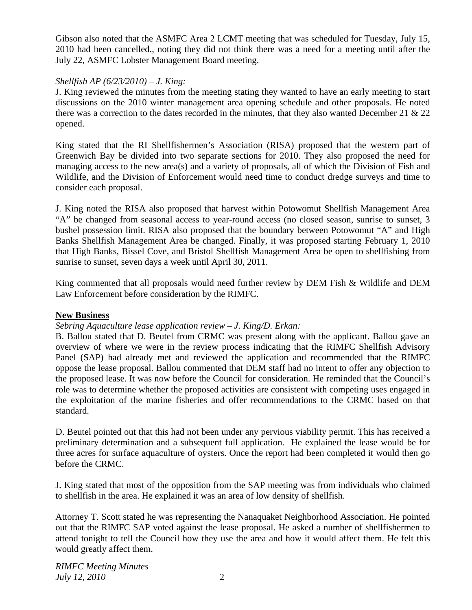Gibson also noted that the ASMFC Area 2 LCMT meeting that was scheduled for Tuesday, July 15, 2010 had been cancelled., noting they did not think there was a need for a meeting until after the July 22, ASMFC Lobster Management Board meeting.

#### *Shellfish AP (6/23/2010) – J. King:*

J. King reviewed the minutes from the meeting stating they wanted to have an early meeting to start discussions on the 2010 winter management area opening schedule and other proposals. He noted there was a correction to the dates recorded in the minutes, that they also wanted December 21  $\&$  22 opened.

King stated that the RI Shellfishermen's Association (RISA) proposed that the western part of Greenwich Bay be divided into two separate sections for 2010. They also proposed the need for managing access to the new area(s) and a variety of proposals, all of which the Division of Fish and Wildlife, and the Division of Enforcement would need time to conduct dredge surveys and time to consider each proposal.

J. King noted the RISA also proposed that harvest within Potowomut Shellfish Management Area "A" be changed from seasonal access to year-round access (no closed season, sunrise to sunset, 3 bushel possession limit. RISA also proposed that the boundary between Potowomut "A" and High Banks Shellfish Management Area be changed. Finally, it was proposed starting February 1, 2010 that High Banks, Bissel Cove, and Bristol Shellfish Management Area be open to shellfishing from sunrise to sunset, seven days a week until April 30, 2011.

King commented that all proposals would need further review by DEM Fish & Wildlife and DEM Law Enforcement before consideration by the RIMFC.

#### **New Business**

### *Sebring Aquaculture lease application review – J. King/D. Erkan:*

B. Ballou stated that D. Beutel from CRMC was present along with the applicant. Ballou gave an overview of where we were in the review process indicating that the RIMFC Shellfish Advisory Panel (SAP) had already met and reviewed the application and recommended that the RIMFC oppose the lease proposal. Ballou commented that DEM staff had no intent to offer any objection to the proposed lease. It was now before the Council for consideration. He reminded that the Council's role was to determine whether the proposed activities are consistent with competing uses engaged in the exploitation of the marine fisheries and offer recommendations to the CRMC based on that standard.

D. Beutel pointed out that this had not been under any pervious viability permit. This has received a preliminary determination and a subsequent full application. He explained the lease would be for three acres for surface aquaculture of oysters. Once the report had been completed it would then go before the CRMC.

J. King stated that most of the opposition from the SAP meeting was from individuals who claimed to shellfish in the area. He explained it was an area of low density of shellfish.

Attorney T. Scott stated he was representing the Nanaquaket Neighborhood Association. He pointed out that the RIMFC SAP voted against the lease proposal. He asked a number of shellfishermen to attend tonight to tell the Council how they use the area and how it would affect them. He felt this would greatly affect them.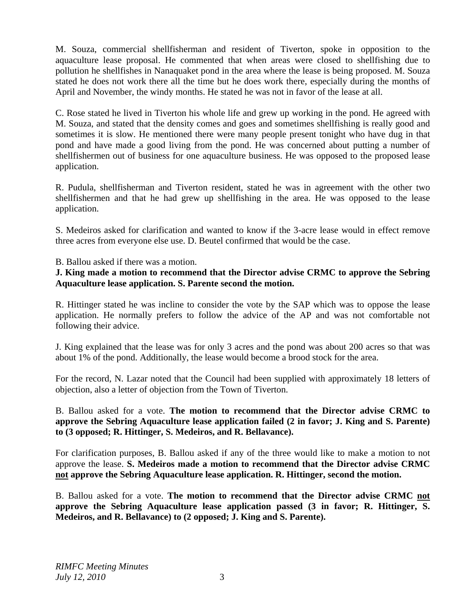M. Souza, commercial shellfisherman and resident of Tiverton, spoke in opposition to the aquaculture lease proposal. He commented that when areas were closed to shellfishing due to pollution he shellfishes in Nanaquaket pond in the area where the lease is being proposed. M. Souza stated he does not work there all the time but he does work there, especially during the months of April and November, the windy months. He stated he was not in favor of the lease at all.

C. Rose stated he lived in Tiverton his whole life and grew up working in the pond. He agreed with M. Souza, and stated that the density comes and goes and sometimes shellfishing is really good and sometimes it is slow. He mentioned there were many people present tonight who have dug in that pond and have made a good living from the pond. He was concerned about putting a number of shellfishermen out of business for one aquaculture business. He was opposed to the proposed lease application.

R. Pudula, shellfisherman and Tiverton resident, stated he was in agreement with the other two shellfishermen and that he had grew up shellfishing in the area. He was opposed to the lease application.

S. Medeiros asked for clarification and wanted to know if the 3-acre lease would in effect remove three acres from everyone else use. D. Beutel confirmed that would be the case.

B. Ballou asked if there was a motion.

#### **J. King made a motion to recommend that the Director advise CRMC to approve the Sebring Aquaculture lease application. S. Parente second the motion.**

R. Hittinger stated he was incline to consider the vote by the SAP which was to oppose the lease application. He normally prefers to follow the advice of the AP and was not comfortable not following their advice.

J. King explained that the lease was for only 3 acres and the pond was about 200 acres so that was about 1% of the pond. Additionally, the lease would become a brood stock for the area.

For the record, N. Lazar noted that the Council had been supplied with approximately 18 letters of objection, also a letter of objection from the Town of Tiverton.

### B. Ballou asked for a vote. **The motion to recommend that the Director advise CRMC to approve the Sebring Aquaculture lease application failed (2 in favor; J. King and S. Parente) to (3 opposed; R. Hittinger, S. Medeiros, and R. Bellavance).**

For clarification purposes, B. Ballou asked if any of the three would like to make a motion to not approve the lease. **S. Medeiros made a motion to recommend that the Director advise CRMC not approve the Sebring Aquaculture lease application. R. Hittinger, second the motion.**

B. Ballou asked for a vote. **The motion to recommend that the Director advise CRMC not approve the Sebring Aquaculture lease application passed (3 in favor; R. Hittinger, S. Medeiros, and R. Bellavance) to (2 opposed; J. King and S. Parente).**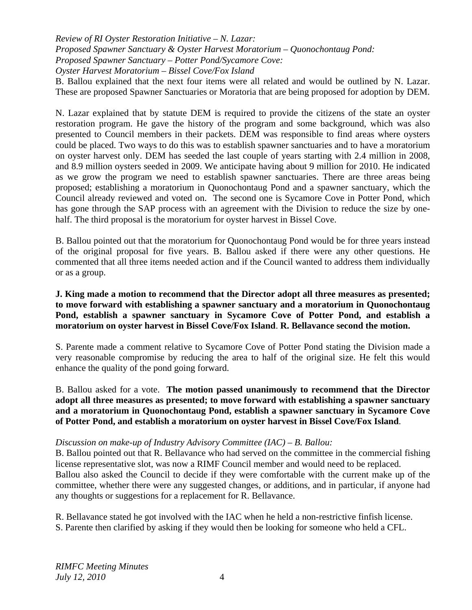*Review of RI Oyster Restoration Initiative – N. Lazar: Proposed Spawner Sanctuary & Oyster Harvest Moratorium – Quonochontaug Pond: Proposed Spawner Sanctuary – Potter Pond/Sycamore Cove: Oyster Harvest Moratorium – Bissel Cove/Fox Island* 

B. Ballou explained that the next four items were all related and would be outlined by N. Lazar. These are proposed Spawner Sanctuaries or Moratoria that are being proposed for adoption by DEM.

N. Lazar explained that by statute DEM is required to provide the citizens of the state an oyster restoration program. He gave the history of the program and some background, which was also presented to Council members in their packets. DEM was responsible to find areas where oysters could be placed. Two ways to do this was to establish spawner sanctuaries and to have a moratorium on oyster harvest only. DEM has seeded the last couple of years starting with 2.4 million in 2008, and 8.9 million oysters seeded in 2009. We anticipate having about 9 million for 2010. He indicated as we grow the program we need to establish spawner sanctuaries. There are three areas being proposed; establishing a moratorium in Quonochontaug Pond and a spawner sanctuary, which the Council already reviewed and voted on. The second one is Sycamore Cove in Potter Pond, which has gone through the SAP process with an agreement with the Division to reduce the size by onehalf. The third proposal is the moratorium for oyster harvest in Bissel Cove.

B. Ballou pointed out that the moratorium for Quonochontaug Pond would be for three years instead of the original proposal for five years. B. Ballou asked if there were any other questions. He commented that all three items needed action and if the Council wanted to address them individually or as a group.

#### **J. King made a motion to recommend that the Director adopt all three measures as presented; to move forward with establishing a spawner sanctuary and a moratorium in Quonochontaug Pond, establish a spawner sanctuary in Sycamore Cove of Potter Pond, and establish a moratorium on oyster harvest in Bissel Cove/Fox Island**. **R. Bellavance second the motion.**

S. Parente made a comment relative to Sycamore Cove of Potter Pond stating the Division made a very reasonable compromise by reducing the area to half of the original size. He felt this would enhance the quality of the pond going forward.

B. Ballou asked for a vote. **The motion passed unanimously to recommend that the Director adopt all three measures as presented; to move forward with establishing a spawner sanctuary and a moratorium in Quonochontaug Pond, establish a spawner sanctuary in Sycamore Cove of Potter Pond, and establish a moratorium on oyster harvest in Bissel Cove/Fox Island**.

### *Discussion on make-up of Industry Advisory Committee (IAC) – B. Ballou:*

any thoughts or suggestions for a replacement for R. Bellavance.

B. Ballou pointed out that R. Bellavance who had served on the committee in the commercial fishing license representative slot, was now a RIMF Council member and would need to be replaced. Ballou also asked the Council to decide if they were comfortable with the current make up of the committee, whether there were any suggested changes, or additions, and in particular, if anyone had

R. Bellavance stated he got involved with the IAC when he held a non-restrictive finfish license. S. Parente then clarified by asking if they would then be looking for someone who held a CFL.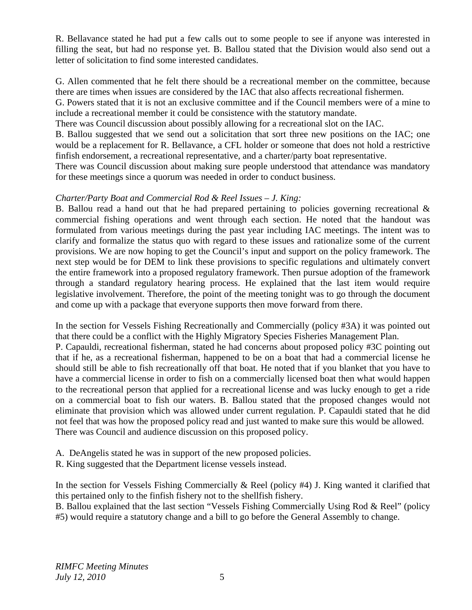R. Bellavance stated he had put a few calls out to some people to see if anyone was interested in filling the seat, but had no response yet. B. Ballou stated that the Division would also send out a letter of solicitation to find some interested candidates.

G. Allen commented that he felt there should be a recreational member on the committee, because there are times when issues are considered by the IAC that also affects recreational fishermen.

G. Powers stated that it is not an exclusive committee and if the Council members were of a mine to include a recreational member it could be consistence with the statutory mandate.

There was Council discussion about possibly allowing for a recreational slot on the IAC.

B. Ballou suggested that we send out a solicitation that sort three new positions on the IAC; one would be a replacement for R. Bellavance, a CFL holder or someone that does not hold a restrictive finfish endorsement, a recreational representative, and a charter/party boat representative.

There was Council discussion about making sure people understood that attendance was mandatory for these meetings since a quorum was needed in order to conduct business.

### *Charter/Party Boat and Commercial Rod & Reel Issues – J. King:*

B. Ballou read a hand out that he had prepared pertaining to policies governing recreational  $\&$ commercial fishing operations and went through each section. He noted that the handout was formulated from various meetings during the past year including IAC meetings. The intent was to clarify and formalize the status quo with regard to these issues and rationalize some of the current provisions. We are now hoping to get the Council's input and support on the policy framework. The next step would be for DEM to link these provisions to specific regulations and ultimately convert the entire framework into a proposed regulatory framework. Then pursue adoption of the framework through a standard regulatory hearing process. He explained that the last item would require legislative involvement. Therefore, the point of the meeting tonight was to go through the document and come up with a package that everyone supports then move forward from there.

In the section for Vessels Fishing Recreationally and Commercially (policy #3A) it was pointed out that there could be a conflict with the Highly Migratory Species Fisheries Management Plan.

P. Capauldi, recreational fisherman, stated he had concerns about proposed policy #3C pointing out that if he, as a recreational fisherman, happened to be on a boat that had a commercial license he should still be able to fish recreationally off that boat. He noted that if you blanket that you have to have a commercial license in order to fish on a commercially licensed boat then what would happen to the recreational person that applied for a recreational license and was lucky enough to get a ride on a commercial boat to fish our waters. B. Ballou stated that the proposed changes would not eliminate that provision which was allowed under current regulation. P. Capauldi stated that he did not feel that was how the proposed policy read and just wanted to make sure this would be allowed. There was Council and audience discussion on this proposed policy.

- A. DeAngelis stated he was in support of the new proposed policies.
- R. King suggested that the Department license vessels instead.

In the section for Vessels Fishing Commercially & Reel (policy #4) J. King wanted it clarified that this pertained only to the finfish fishery not to the shellfish fishery.

B. Ballou explained that the last section "Vessels Fishing Commercially Using Rod & Reel" (policy #5) would require a statutory change and a bill to go before the General Assembly to change.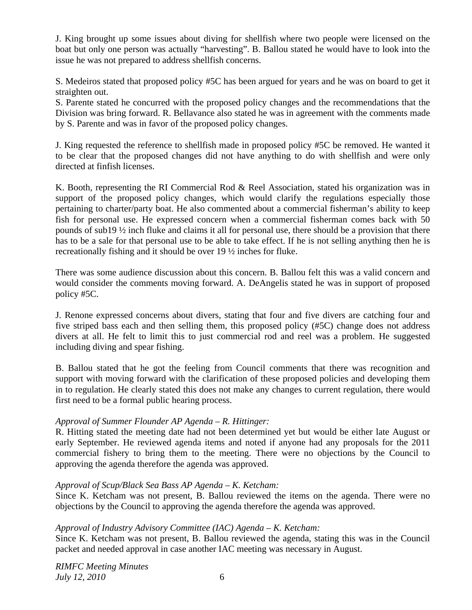J. King brought up some issues about diving for shellfish where two people were licensed on the boat but only one person was actually "harvesting". B. Ballou stated he would have to look into the issue he was not prepared to address shellfish concerns.

S. Medeiros stated that proposed policy #5C has been argued for years and he was on board to get it straighten out.

S. Parente stated he concurred with the proposed policy changes and the recommendations that the Division was bring forward. R. Bellavance also stated he was in agreement with the comments made by S. Parente and was in favor of the proposed policy changes.

J. King requested the reference to shellfish made in proposed policy #5C be removed. He wanted it to be clear that the proposed changes did not have anything to do with shellfish and were only directed at finfish licenses.

K. Booth, representing the RI Commercial Rod & Reel Association, stated his organization was in support of the proposed policy changes, which would clarify the regulations especially those pertaining to charter/party boat. He also commented about a commercial fisherman's ability to keep fish for personal use. He expressed concern when a commercial fisherman comes back with 50 pounds of sub19 ½ inch fluke and claims it all for personal use, there should be a provision that there has to be a sale for that personal use to be able to take effect. If he is not selling anything then he is recreationally fishing and it should be over 19 ½ inches for fluke.

There was some audience discussion about this concern. B. Ballou felt this was a valid concern and would consider the comments moving forward. A. DeAngelis stated he was in support of proposed policy #5C.

J. Renone expressed concerns about divers, stating that four and five divers are catching four and five striped bass each and then selling them, this proposed policy (#5C) change does not address divers at all. He felt to limit this to just commercial rod and reel was a problem. He suggested including diving and spear fishing.

B. Ballou stated that he got the feeling from Council comments that there was recognition and support with moving forward with the clarification of these proposed policies and developing them in to regulation. He clearly stated this does not make any changes to current regulation, there would first need to be a formal public hearing process.

### *Approval of Summer Flounder AP Agenda – R. Hittinger:*

R. Hitting stated the meeting date had not been determined yet but would be either late August or early September. He reviewed agenda items and noted if anyone had any proposals for the 2011 commercial fishery to bring them to the meeting. There were no objections by the Council to approving the agenda therefore the agenda was approved.

#### *Approval of Scup/Black Sea Bass AP Agenda – K. Ketcham:*

Since K. Ketcham was not present, B. Ballou reviewed the items on the agenda. There were no objections by the Council to approving the agenda therefore the agenda was approved.

### *Approval of Industry Advisory Committee (IAC) Agenda – K. Ketcham:*

Since K. Ketcham was not present, B. Ballou reviewed the agenda, stating this was in the Council packet and needed approval in case another IAC meeting was necessary in August.

*RIMFC Meeting Minutes July 12, 2010* 6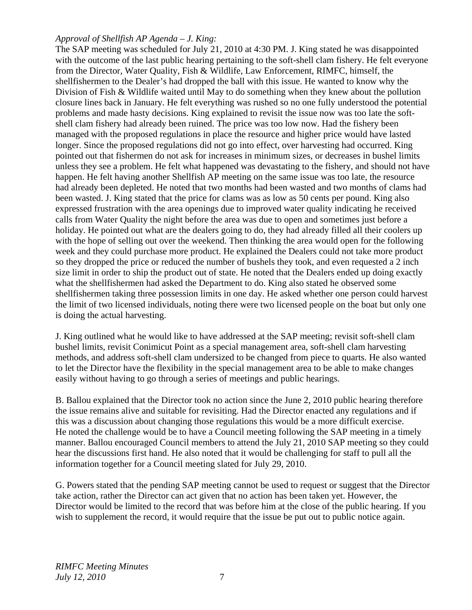### *Approval of Shellfish AP Agenda – J. King:*

The SAP meeting was scheduled for July 21, 2010 at 4:30 PM. J. King stated he was disappointed with the outcome of the last public hearing pertaining to the soft-shell clam fishery. He felt everyone from the Director, Water Quality, Fish & Wildlife, Law Enforcement, RIMFC, himself, the shellfishermen to the Dealer's had dropped the ball with this issue. He wanted to know why the Division of Fish & Wildlife waited until May to do something when they knew about the pollution closure lines back in January. He felt everything was rushed so no one fully understood the potential problems and made hasty decisions. King explained to revisit the issue now was too late the softshell clam fishery had already been ruined. The price was too low now. Had the fishery been managed with the proposed regulations in place the resource and higher price would have lasted longer. Since the proposed regulations did not go into effect, over harvesting had occurred. King pointed out that fishermen do not ask for increases in minimum sizes, or decreases in bushel limits unless they see a problem. He felt what happened was devastating to the fishery, and should not have happen. He felt having another Shellfish AP meeting on the same issue was too late, the resource had already been depleted. He noted that two months had been wasted and two months of clams had been wasted. J. King stated that the price for clams was as low as 50 cents per pound. King also expressed frustration with the area openings due to improved water quality indicating he received calls from Water Quality the night before the area was due to open and sometimes just before a holiday. He pointed out what are the dealers going to do, they had already filled all their coolers up with the hope of selling out over the weekend. Then thinking the area would open for the following week and they could purchase more product. He explained the Dealers could not take more product so they dropped the price or reduced the number of bushels they took, and even requested a 2 inch size limit in order to ship the product out of state. He noted that the Dealers ended up doing exactly what the shellfishermen had asked the Department to do. King also stated he observed some shellfishermen taking three possession limits in one day. He asked whether one person could harvest the limit of two licensed individuals, noting there were two licensed people on the boat but only one is doing the actual harvesting.

J. King outlined what he would like to have addressed at the SAP meeting; revisit soft-shell clam bushel limits, revisit Conimicut Point as a special management area, soft-shell clam harvesting methods, and address soft-shell clam undersized to be changed from piece to quarts. He also wanted to let the Director have the flexibility in the special management area to be able to make changes easily without having to go through a series of meetings and public hearings.

B. Ballou explained that the Director took no action since the June 2, 2010 public hearing therefore the issue remains alive and suitable for revisiting. Had the Director enacted any regulations and if this was a discussion about changing those regulations this would be a more difficult exercise. He noted the challenge would be to have a Council meeting following the SAP meeting in a timely manner. Ballou encouraged Council members to attend the July 21, 2010 SAP meeting so they could hear the discussions first hand. He also noted that it would be challenging for staff to pull all the information together for a Council meeting slated for July 29, 2010.

G. Powers stated that the pending SAP meeting cannot be used to request or suggest that the Director take action, rather the Director can act given that no action has been taken yet. However, the Director would be limited to the record that was before him at the close of the public hearing. If you wish to supplement the record, it would require that the issue be put out to public notice again.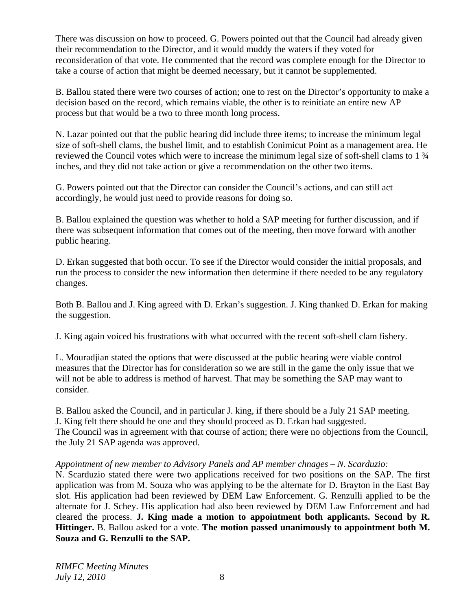There was discussion on how to proceed. G. Powers pointed out that the Council had already given their recommendation to the Director, and it would muddy the waters if they voted for reconsideration of that vote. He commented that the record was complete enough for the Director to take a course of action that might be deemed necessary, but it cannot be supplemented.

B. Ballou stated there were two courses of action; one to rest on the Director's opportunity to make a decision based on the record, which remains viable, the other is to reinitiate an entire new AP process but that would be a two to three month long process.

N. Lazar pointed out that the public hearing did include three items; to increase the minimum legal size of soft-shell clams, the bushel limit, and to establish Conimicut Point as a management area. He reviewed the Council votes which were to increase the minimum legal size of soft-shell clams to 1 ¾ inches, and they did not take action or give a recommendation on the other two items.

G. Powers pointed out that the Director can consider the Council's actions, and can still act accordingly, he would just need to provide reasons for doing so.

B. Ballou explained the question was whether to hold a SAP meeting for further discussion, and if there was subsequent information that comes out of the meeting, then move forward with another public hearing.

D. Erkan suggested that both occur. To see if the Director would consider the initial proposals, and run the process to consider the new information then determine if there needed to be any regulatory changes.

Both B. Ballou and J. King agreed with D. Erkan's suggestion. J. King thanked D. Erkan for making the suggestion.

J. King again voiced his frustrations with what occurred with the recent soft-shell clam fishery.

L. Mouradjian stated the options that were discussed at the public hearing were viable control measures that the Director has for consideration so we are still in the game the only issue that we will not be able to address is method of harvest. That may be something the SAP may want to consider.

B. Ballou asked the Council, and in particular J. king, if there should be a July 21 SAP meeting. J. King felt there should be one and they should proceed as D. Erkan had suggested. The Council was in agreement with that course of action; there were no objections from the Council, the July 21 SAP agenda was approved.

### *Appointment of new member to Advisory Panels and AP member chnages – N. Scarduzio:*

N. Scarduzio stated there were two applications received for two positions on the SAP. The first application was from M. Souza who was applying to be the alternate for D. Brayton in the East Bay slot. His application had been reviewed by DEM Law Enforcement. G. Renzulli applied to be the alternate for J. Schey. His application had also been reviewed by DEM Law Enforcement and had cleared the process. **J. King made a motion to appointment both applicants. Second by R. Hittinger.** B. Ballou asked for a vote. **The motion passed unanimously to appointment both M. Souza and G. Renzulli to the SAP.**